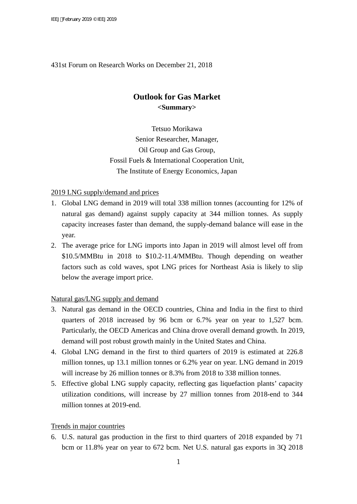#### 431st Forum on Research Works on December 21, 2018

# **Outlook for Gas Market <Summary>**

Tetsuo Morikawa Senior Researcher, Manager, Oil Group and Gas Group, Fossil Fuels & International Cooperation Unit, The Institute of Energy Economics, Japan

#### 2019 LNG supply/demand and prices

- 1. Global LNG demand in 2019 will total 338 million tonnes (accounting for 12% of natural gas demand) against supply capacity at 344 million tonnes. As supply capacity increases faster than demand, the supply-demand balance will ease in the year.
- 2. The average price for LNG imports into Japan in 2019 will almost level off from \$10.5/MMBtu in 2018 to \$10.2-11.4/MMBtu. Though depending on weather factors such as cold waves, spot LNG prices for Northeast Asia is likely to slip below the average import price.

#### Natural gas/LNG supply and demand

- 3. Natural gas demand in the OECD countries, China and India in the first to third quarters of 2018 increased by 96 bcm or 6.7% year on year to 1,527 bcm. Particularly, the OECD Americas and China drove overall demand growth. In 2019, demand will post robust growth mainly in the United States and China.
- 4. Global LNG demand in the first to third quarters of 2019 is estimated at 226.8 million tonnes, up 13.1 million tonnes or 6.2% year on year. LNG demand in 2019 will increase by 26 million tonnes or 8.3% from 2018 to 338 million tonnes.
- 5. Effective global LNG supply capacity, reflecting gas liquefaction plants' capacity utilization conditions, will increase by 27 million tonnes from 2018-end to 344 million tonnes at 2019-end.

#### Trends in major countries

6. U.S. natural gas production in the first to third quarters of 2018 expanded by 71 bcm or 11.8% year on year to 672 bcm. Net U.S. natural gas exports in 3Q 2018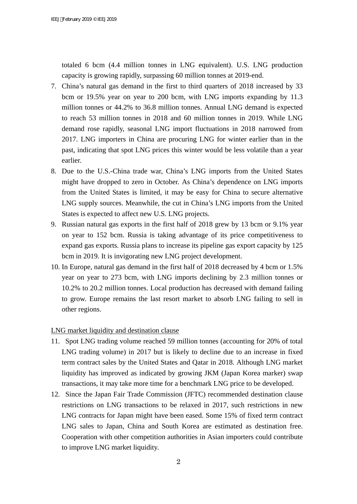totaled 6 bcm (4.4 million tonnes in LNG equivalent). U.S. LNG production capacity is growing rapidly, surpassing 60 million tonnes at 2019-end.

- 7. China's natural gas demand in the first to third quarters of 2018 increased by 33 bcm or 19.5% year on year to 200 bcm, with LNG imports expanding by 11.3 million tonnes or 44.2% to 36.8 million tonnes. Annual LNG demand is expected to reach 53 million tonnes in 2018 and 60 million tonnes in 2019. While LNG demand rose rapidly, seasonal LNG import fluctuations in 2018 narrowed from 2017. LNG importers in China are procuring LNG for winter earlier than in the past, indicating that spot LNG prices this winter would be less volatile than a year earlier.
- 8. Due to the U.S.-China trade war, China's LNG imports from the United States might have dropped to zero in October. As China's dependence on LNG imports from the United States is limited, it may be easy for China to secure alternative LNG supply sources. Meanwhile, the cut in China's LNG imports from the United States is expected to affect new U.S. LNG projects.
- 9. Russian natural gas exports in the first half of 2018 grew by 13 bcm or 9.1% year on year to 152 bcm. Russia is taking advantage of its price competitiveness to expand gas exports. Russia plans to increase its pipeline gas export capacity by 125 bcm in 2019. It is invigorating new LNG project development.
- 10. In Europe, natural gas demand in the first half of 2018 decreased by 4 bcm or 1.5% year on year to 273 bcm, with LNG imports declining by 2.3 million tonnes or 10.2% to 20.2 million tonnes. Local production has decreased with demand failing to grow. Europe remains the last resort market to absorb LNG failing to sell in other regions.

### LNG market liquidity and destination clause

- 11. Spot LNG trading volume reached 59 million tonnes (accounting for 20% of total LNG trading volume) in 2017 but is likely to decline due to an increase in fixed term contract sales by the United States and Qatar in 2018. Although LNG market liquidity has improved as indicated by growing JKM (Japan Korea marker) swap transactions, it may take more time for a benchmark LNG price to be developed.
- 12. Since the Japan Fair Trade Commission (JFTC) recommended destination clause restrictions on LNG transactions to be relaxed in 2017, such restrictions in new LNG contracts for Japan might have been eased. Some 15% of fixed term contract LNG sales to Japan, China and South Korea are estimated as destination free. Cooperation with other competition authorities in Asian importers could contribute to improve LNG market liquidity.